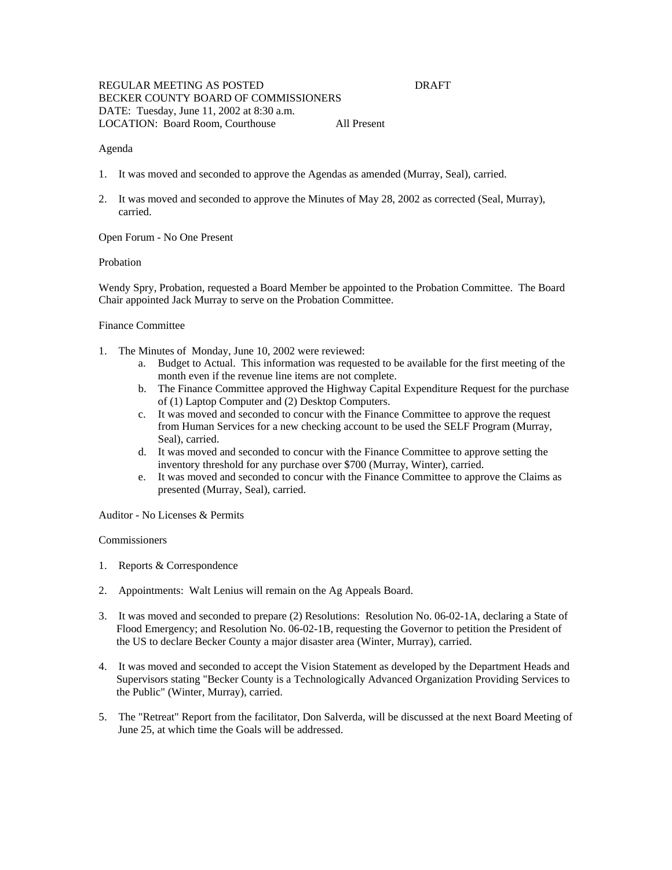# REGULAR MEETING AS POSTED DRAFT BECKER COUNTY BOARD OF COMMISSIONERS DATE: Tuesday, June 11, 2002 at 8:30 a.m. LOCATION: Board Room, Courthouse All Present

# Agenda

- 1. It was moved and seconded to approve the Agendas as amended (Murray, Seal), carried.
- 2. It was moved and seconded to approve the Minutes of May 28, 2002 as corrected (Seal, Murray), carried.

Open Forum - No One Present

# **Probation**

Wendy Spry, Probation, requested a Board Member be appointed to the Probation Committee. The Board Chair appointed Jack Murray to serve on the Probation Committee.

# Finance Committee

- 1. The Minutes of Monday, June 10, 2002 were reviewed:
	- a. Budget to Actual. This information was requested to be available for the first meeting of the month even if the revenue line items are not complete.
	- b. The Finance Committee approved the Highway Capital Expenditure Request for the purchase of (1) Laptop Computer and (2) Desktop Computers.
	- c. It was moved and seconded to concur with the Finance Committee to approve the request from Human Services for a new checking account to be used the SELF Program (Murray, Seal), carried.
	- d. It was moved and seconded to concur with the Finance Committee to approve setting the inventory threshold for any purchase over \$700 (Murray, Winter), carried.
	- e. It was moved and seconded to concur with the Finance Committee to approve the Claims as presented (Murray, Seal), carried.

### Auditor - No Licenses & Permits

# **Commissioners**

- 1. Reports & Correspondence
- 2. Appointments: Walt Lenius will remain on the Ag Appeals Board.
- 3. It was moved and seconded to prepare (2) Resolutions: Resolution No. 06-02-1A, declaring a State of Flood Emergency; and Resolution No. 06-02-1B, requesting the Governor to petition the President of the US to declare Becker County a major disaster area (Winter, Murray), carried.
- 4. It was moved and seconded to accept the Vision Statement as developed by the Department Heads and Supervisors stating "Becker County is a Technologically Advanced Organization Providing Services to the Public" (Winter, Murray), carried.
- 5. The "Retreat" Report from the facilitator, Don Salverda, will be discussed at the next Board Meeting of June 25, at which time the Goals will be addressed.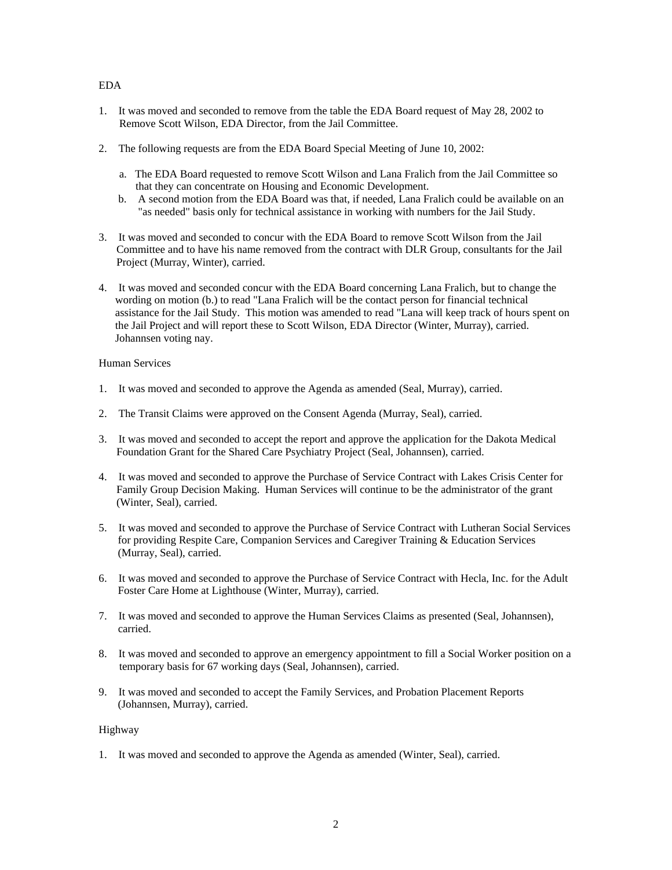# EDA

- 1. It was moved and seconded to remove from the table the EDA Board request of May 28, 2002 to Remove Scott Wilson, EDA Director, from the Jail Committee.
- 2. The following requests are from the EDA Board Special Meeting of June 10, 2002:
	- a. The EDA Board requested to remove Scott Wilson and Lana Fralich from the Jail Committee so that they can concentrate on Housing and Economic Development.
	- b. A second motion from the EDA Board was that, if needed, Lana Fralich could be available on an "as needed" basis only for technical assistance in working with numbers for the Jail Study.
- 3. It was moved and seconded to concur with the EDA Board to remove Scott Wilson from the Jail Committee and to have his name removed from the contract with DLR Group, consultants for the Jail Project (Murray, Winter), carried.
- 4. It was moved and seconded concur with the EDA Board concerning Lana Fralich, but to change the wording on motion (b.) to read "Lana Fralich will be the contact person for financial technical assistance for the Jail Study. This motion was amended to read "Lana will keep track of hours spent on the Jail Project and will report these to Scott Wilson, EDA Director (Winter, Murray), carried. Johannsen voting nay.

# Human Services

- 1. It was moved and seconded to approve the Agenda as amended (Seal, Murray), carried.
- 2. The Transit Claims were approved on the Consent Agenda (Murray, Seal), carried.
- 3. It was moved and seconded to accept the report and approve the application for the Dakota Medical Foundation Grant for the Shared Care Psychiatry Project (Seal, Johannsen), carried.
- 4. It was moved and seconded to approve the Purchase of Service Contract with Lakes Crisis Center for Family Group Decision Making. Human Services will continue to be the administrator of the grant (Winter, Seal), carried.
- 5. It was moved and seconded to approve the Purchase of Service Contract with Lutheran Social Services for providing Respite Care, Companion Services and Caregiver Training & Education Services (Murray, Seal), carried.
- 6. It was moved and seconded to approve the Purchase of Service Contract with Hecla, Inc. for the Adult Foster Care Home at Lighthouse (Winter, Murray), carried.
- 7. It was moved and seconded to approve the Human Services Claims as presented (Seal, Johannsen), carried.
- 8. It was moved and seconded to approve an emergency appointment to fill a Social Worker position on a temporary basis for 67 working days (Seal, Johannsen), carried.
- 9. It was moved and seconded to accept the Family Services, and Probation Placement Reports (Johannsen, Murray), carried.

# Highway

1. It was moved and seconded to approve the Agenda as amended (Winter, Seal), carried.